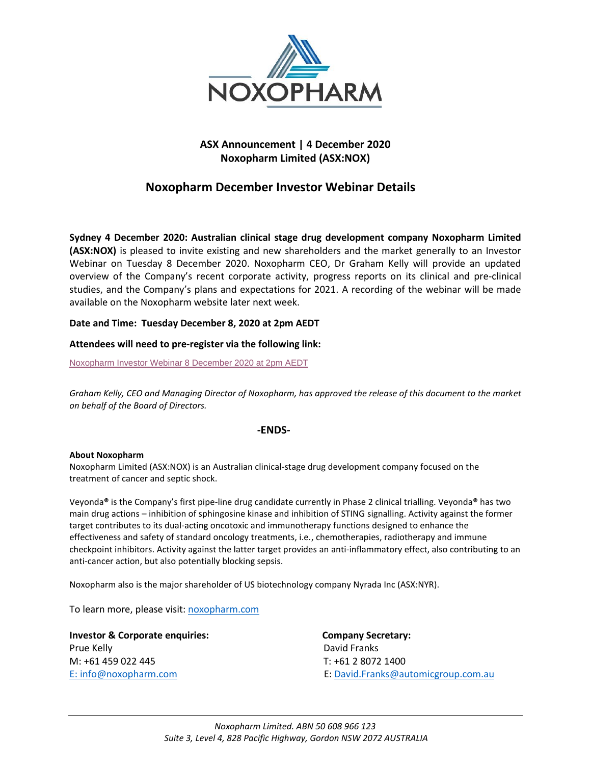

## **ASX Announcement | 4 December 2020 Noxopharm Limited (ASX:NOX)**

# **Noxopharm December Investor Webinar Details**

**Sydney 4 December 2020: Australian clinical stage drug development company Noxopharm Limited (ASX:NOX)** is pleased to invite existing and new shareholders and the market generally to an Investor Webinar on Tuesday 8 December 2020. Noxopharm CEO, Dr Graham Kelly will provide an updated overview of the Company's recent corporate activity, progress reports on its clinical and pre-clinical studies, and the Company's plans and expectations for 2021. A recording of the webinar will be made available on the Noxopharm website later next week.

## **Date and Time: Tuesday December 8, 2020 at 2pm AEDT**

## **Attendees will need to pre-register via the following link:**

[Noxopharm Investor Webinar 8 December 2020 at 2pm AEDT](https://fnn.webex.com/fnn/onstage/g.php?MTID=e8ecf0fce615315c26eeba120d97efb2b)

*Graham Kelly, CEO and Managing Director of Noxopharm, has approved the release of this document to the market on behalf of the Board of Directors.*

### **-ENDS-**

### **About Noxopharm**

Noxopharm Limited (ASX:NOX) is an Australian clinical-stage drug development company focused on the treatment of cancer and septic shock.

Veyonda**®** is the Company's first pipe-line drug candidate currently in Phase 2 clinical trialling. Veyonda**®** has two main drug actions – inhibition of sphingosine kinase and inhibition of STING signalling. Activity against the former target contributes to its dual-acting oncotoxic and immunotherapy functions designed to enhance the effectiveness and safety of standard oncology treatments, i.e., chemotherapies, radiotherapy and immune checkpoint inhibitors. Activity against the latter target provides an anti-inflammatory effect, also contributing to an anti-cancer action, but also potentially blocking sepsis.

Noxopharm also is the major shareholder of US biotechnology company Nyrada Inc (ASX:NYR).

To learn more, please visit: [noxopharm.com](https://www.noxopharm.com/site/content/)

**Investor & Corporate enquiries: Company Secretary:**  Prue Kelly **David Franks** M: +61 459 022 445 T: +61 2 8072 1400

E: [info@noxopharm.com](mailto:info@noxopharm.com) E: [David.Franks@automicgroup.com.au](mailto:David.Franks@automicgroup.com.au)